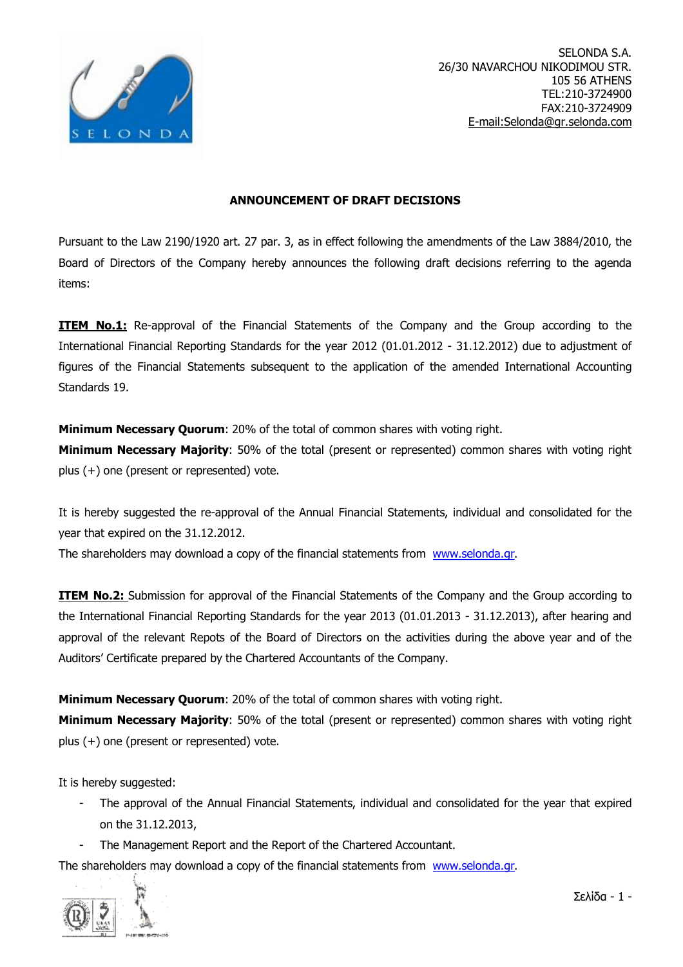

## **ANNOUNCEMENT OF DRAFT DECISIONS**

Pursuant to the Law 2190/1920 art. 27 par. 3, as in effect following the amendments of the Law 3884/2010, the Board of Directors of the Company hereby announces the following draft decisions referring to the agenda items:

**ITEM No.1:** Re-approval of the Financial Statements of the Company and the Group according to the International Financial Reporting Standards for the year 2012 (01.01.2012 - 31.12.2012) due to adjustment of figures of the Financial Statements subsequent to the application of the amended International Accounting Standards 19.

**Minimum Necessary Quorum**: 20% of the total of common shares with voting right.

**Minimum Necessary Majority**: 50% of the total (present or represented) common shares with voting right plus (+) one (present or represented) vote.

It is hereby suggested the re-approval of the Annual Financial Statements, individual and consolidated for the year that expired on the 31.12.2012.

The shareholders may download a copy of the financial statements from [www.selonda.gr](http://www.selonda.gr).

**ITEM No.2:** Submission for approval of the Financial Statements of the Company and the Group according to the International Financial Reporting Standards for the year 2013 (01.01.2013 - 31.12.2013), after hearing and approval of the relevant Repots of the Board of Directors on the activities during the above year and of the Auditors' Certificate prepared by the Chartered Accountants of the Company.

**Minimum Necessary Quorum**: 20% of the total of common shares with voting right.

**Minimum Necessary Majority**: 50% of the total (present or represented) common shares with voting right plus (+) one (present or represented) vote.

It is hereby suggested:

- The approval of the Annual Financial Statements, individual and consolidated for the year that expired on the 31.12.2013,
- The Management Report and the Report of the Chartered Accountant.

The shareholders may download a copy of the financial statements from [www.selonda.gr](http://www.selonda.gr).



Σελίδα - 1 -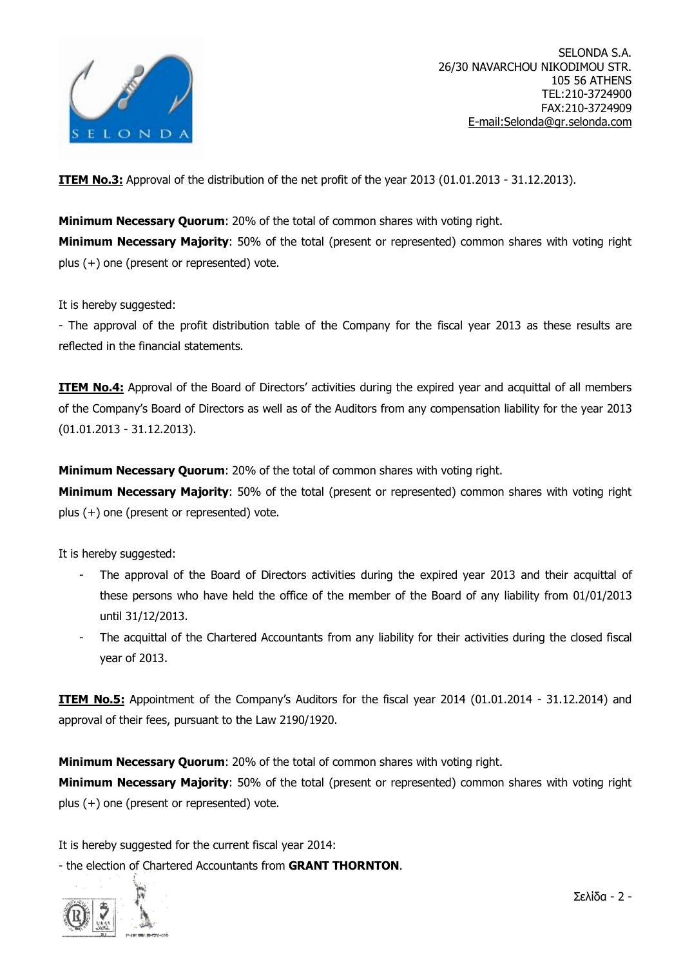

SELONDA S.A. 26/30 NAVARCHOU NIKODIMOU STR. 105 56 ATHENS TEL:210-3724900 FAX:210-3724909 [E-mail:Selonda@gr.selonda.com](mailto:E-mail:Selonda@gr.selonda.com)

**ITEM No.3:** Approval of the distribution of the net profit of the year 2013 (01.01.2013 - 31.12.2013).

**Minimum Necessary Quorum**: 20% of the total of common shares with voting right. **Minimum Necessary Majority**: 50% of the total (present or represented) common shares with voting right plus (+) one (present or represented) vote.

It is hereby suggested:

- The approval of the profit distribution table of the Company for the fiscal year 2013 as these results are reflected in the financial statements.

**ITEM No.4:** Approval of the Board of Directors' activities during the expired year and acquittal of all members of the Company's Board of Directors as well as of the Auditors from any compensation liability for the year 2013 (01.01.2013 - 31.12.2013).

**Minimum Necessary Quorum**: 20% of the total of common shares with voting right.

**Minimum Necessary Majority**: 50% of the total (present or represented) common shares with voting right plus (+) one (present or represented) vote.

It is hereby suggested:

- The approval of the Board of Directors activities during the expired year 2013 and their acquittal of these persons who have held the office of the member of the Board of any liability from 01/01/2013 until 31/12/2013.
- The acquittal of the Chartered Accountants from any liability for their activities during the closed fiscal year of 2013.

**ITEM No.5:** Appointment of the Company's Auditors for the fiscal year 2014 (01.01.2014 - 31.12.2014) and approval of their fees, pursuant to the Law 2190/1920.

**Minimum Necessary Quorum**: 20% of the total of common shares with voting right.

**Minimum Necessary Majority**: 50% of the total (present or represented) common shares with voting right plus (+) one (present or represented) vote.

It is hereby suggested for the current fiscal year 2014:

- the election of Chartered Accountants from **GRANT THORNTON**.

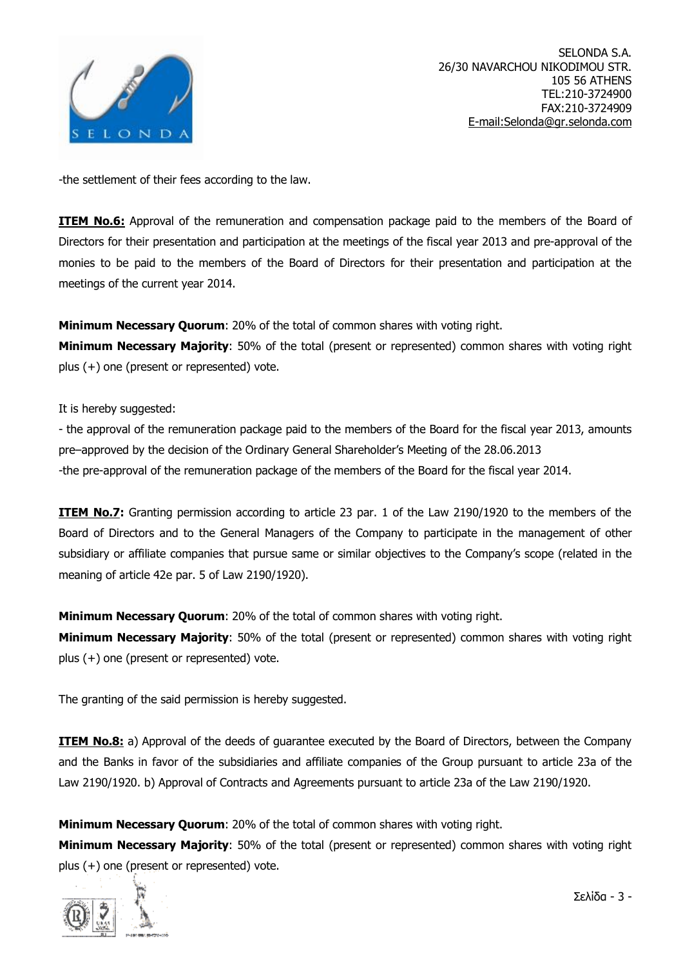

-the settlement of their fees according to the law.

**ITEM No.6:** Approval of the remuneration and compensation package paid to the members of the Board of Directors for their presentation and participation at the meetings of the fiscal year 2013 and pre-approval of the monies to be paid to the members of the Board of Directors for their presentation and participation at the meetings of the current year 2014.

**Minimum Necessary Quorum**: 20% of the total of common shares with voting right.

**Minimum Necessary Majority**: 50% of the total (present or represented) common shares with voting right plus (+) one (present or represented) vote.

It is hereby suggested:

- the approval of the remuneration package paid to the members of the Board for the fiscal year 2013, amounts pre–approved by the decision of the Ordinary General Shareholder's Meeting of the 28.06.2013 -the pre-approval of the remuneration package of the members of the Board for the fiscal year 2014.

**ITEM No.7:** Granting permission according to article 23 par. 1 of the Law 2190/1920 to the members of the Board of Directors and to the General Managers of the Company to participate in the management of other subsidiary or affiliate companies that pursue same or similar objectives to the Company's scope (related in the meaning of article 42e par. 5 of Law 2190/1920).

**Minimum Necessary Quorum**: 20% of the total of common shares with voting right.

**Minimum Necessary Majority**: 50% of the total (present or represented) common shares with voting right plus (+) one (present or represented) vote.

The granting of the said permission is hereby suggested.

**ITEM No.8:** a) Approval of the deeds of quarantee executed by the Board of Directors, between the Company and the Banks in favor of the subsidiaries and affiliate companies of the Group pursuant to article 23a of the Law 2190/1920. b) Approval of Contracts and Agreements pursuant to article 23a of the Law 2190/1920.

**Minimum Necessary Quorum**: 20% of the total of common shares with voting right.

**Minimum Necessary Majority**: 50% of the total (present or represented) common shares with voting right plus (+) one (present or represented) vote.



Σελίδα - 3 -